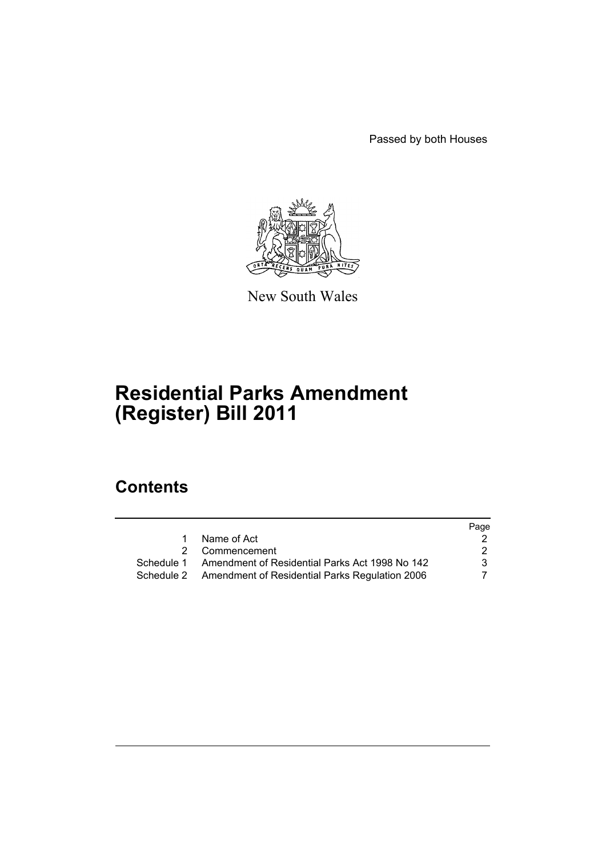Passed by both Houses



New South Wales

# **Residential Parks Amendment (Register) Bill 2011**

# **Contents**

|    |                                                           | Page |
|----|-----------------------------------------------------------|------|
| 1. | Name of Act                                               |      |
|    | 2 Commencement                                            | 2    |
|    | Schedule 1 Amendment of Residential Parks Act 1998 No 142 | 3    |
|    | Schedule 2 Amendment of Residential Parks Regulation 2006 |      |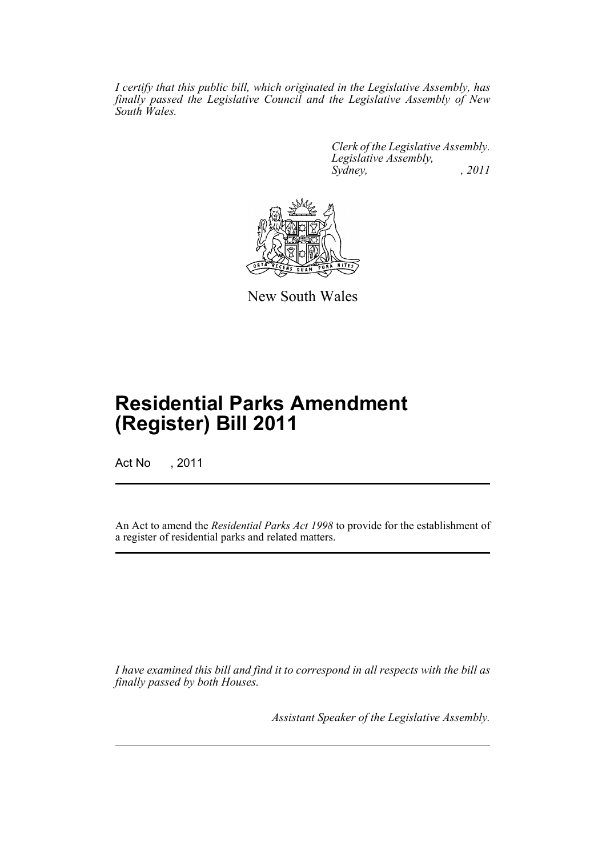*I certify that this public bill, which originated in the Legislative Assembly, has finally passed the Legislative Council and the Legislative Assembly of New South Wales.*

> *Clerk of the Legislative Assembly. Legislative Assembly, Sydney, , 2011*



New South Wales

# **Residential Parks Amendment (Register) Bill 2011**

Act No , 2011

An Act to amend the *Residential Parks Act 1998* to provide for the establishment of a register of residential parks and related matters.

*I have examined this bill and find it to correspond in all respects with the bill as finally passed by both Houses.*

*Assistant Speaker of the Legislative Assembly.*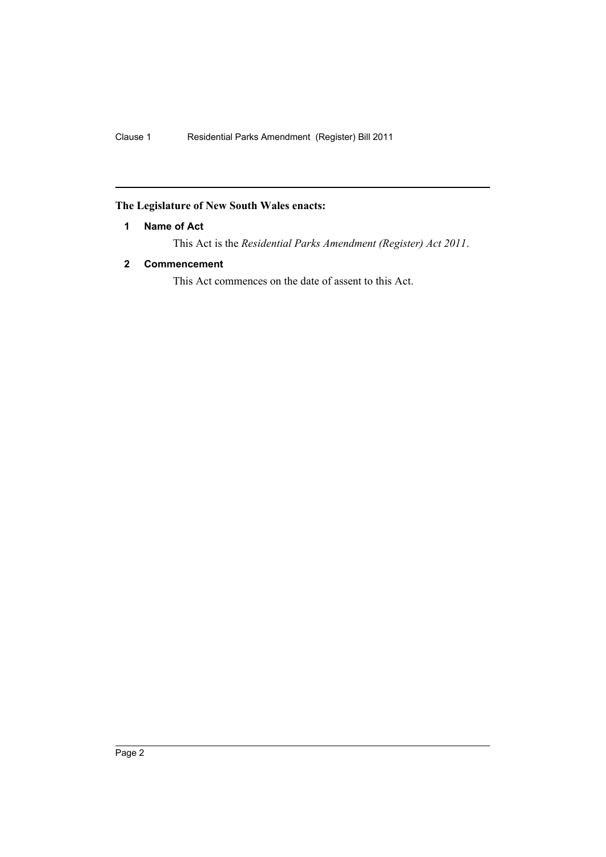# <span id="page-3-0"></span>**The Legislature of New South Wales enacts:**

# **1 Name of Act**

This Act is the *Residential Parks Amendment (Register) Act 2011*.

# <span id="page-3-1"></span>**2 Commencement**

This Act commences on the date of assent to this Act.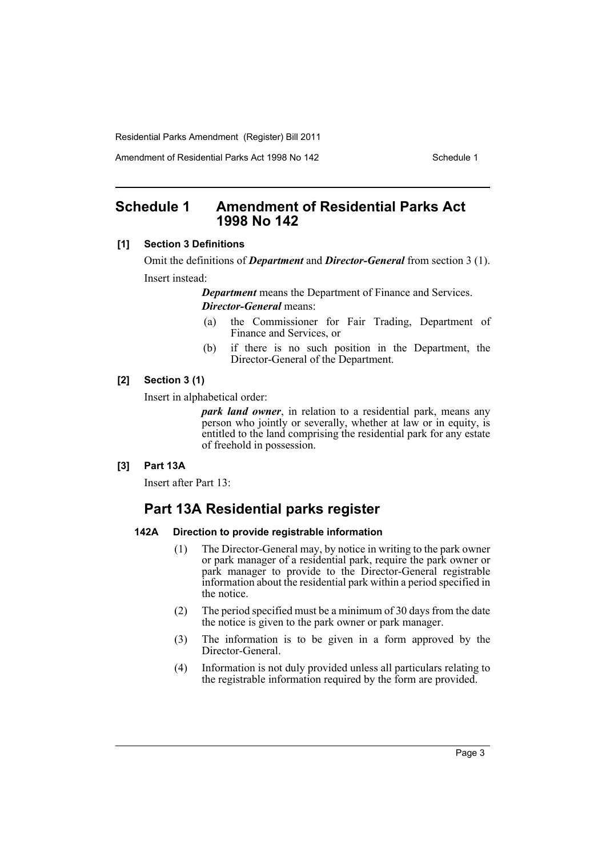Amendment of Residential Parks Act 1998 No 142 Schedule 1

# <span id="page-4-0"></span>**Schedule 1 Amendment of Residential Parks Act 1998 No 142**

#### **[1] Section 3 Definitions**

Omit the definitions of *Department* and *Director-General* from section 3 (1). Insert instead:

*Department* means the Department of Finance and Services.

*Director-General* means:

- (a) the Commissioner for Fair Trading, Department of Finance and Services, or
- (b) if there is no such position in the Department, the Director-General of the Department.

### **[2] Section 3 (1)**

Insert in alphabetical order:

*park land owner*, in relation to a residential park, means any person who jointly or severally, whether at law or in equity, is entitled to the land comprising the residential park for any estate of freehold in possession.

## **[3] Part 13A**

Insert after Part 13:

# **Part 13A Residential parks register**

#### **142A Direction to provide registrable information**

- (1) The Director-General may, by notice in writing to the park owner or park manager of a residential park, require the park owner or park manager to provide to the Director-General registrable information about the residential park within a period specified in the notice.
- (2) The period specified must be a minimum of 30 days from the date the notice is given to the park owner or park manager.
- (3) The information is to be given in a form approved by the Director-General.
- (4) Information is not duly provided unless all particulars relating to the registrable information required by the form are provided.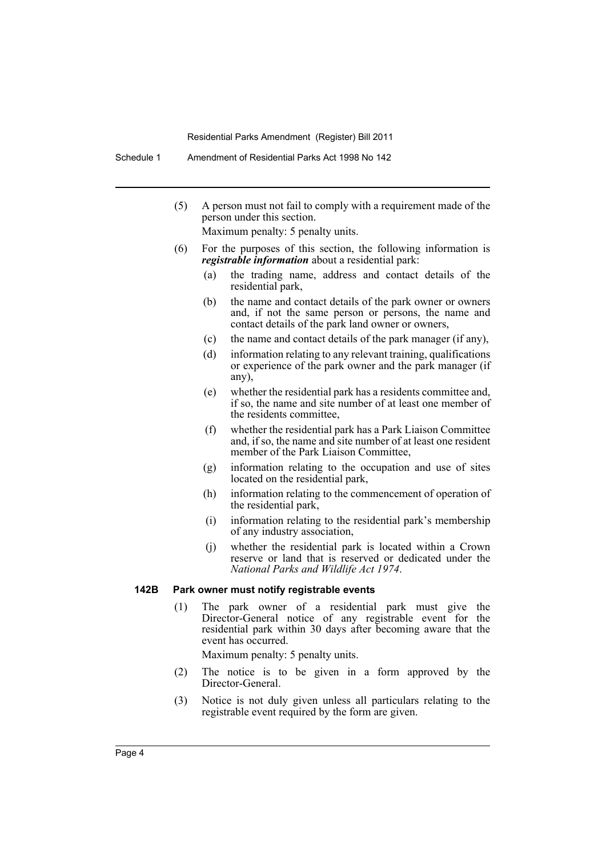Schedule 1 Amendment of Residential Parks Act 1998 No 142

(5) A person must not fail to comply with a requirement made of the person under this section.

Maximum penalty: 5 penalty units.

- (6) For the purposes of this section, the following information is *registrable information* about a residential park:
	- (a) the trading name, address and contact details of the residential park,
	- (b) the name and contact details of the park owner or owners and, if not the same person or persons, the name and contact details of the park land owner or owners,
	- (c) the name and contact details of the park manager (if any),
	- (d) information relating to any relevant training, qualifications or experience of the park owner and the park manager (if any),
	- (e) whether the residential park has a residents committee and, if so, the name and site number of at least one member of the residents committee,
	- (f) whether the residential park has a Park Liaison Committee and, if so, the name and site number of at least one resident member of the Park Liaison Committee,
	- (g) information relating to the occupation and use of sites located on the residential park,
	- (h) information relating to the commencement of operation of the residential park,
	- (i) information relating to the residential park's membership of any industry association,
	- (j) whether the residential park is located within a Crown reserve or land that is reserved or dedicated under the *National Parks and Wildlife Act 1974*.

## **142B Park owner must notify registrable events**

(1) The park owner of a residential park must give the Director-General notice of any registrable event for the residential park within 30 days after becoming aware that the event has occurred.

Maximum penalty: 5 penalty units.

- (2) The notice is to be given in a form approved by the Director-General.
- (3) Notice is not duly given unless all particulars relating to the registrable event required by the form are given.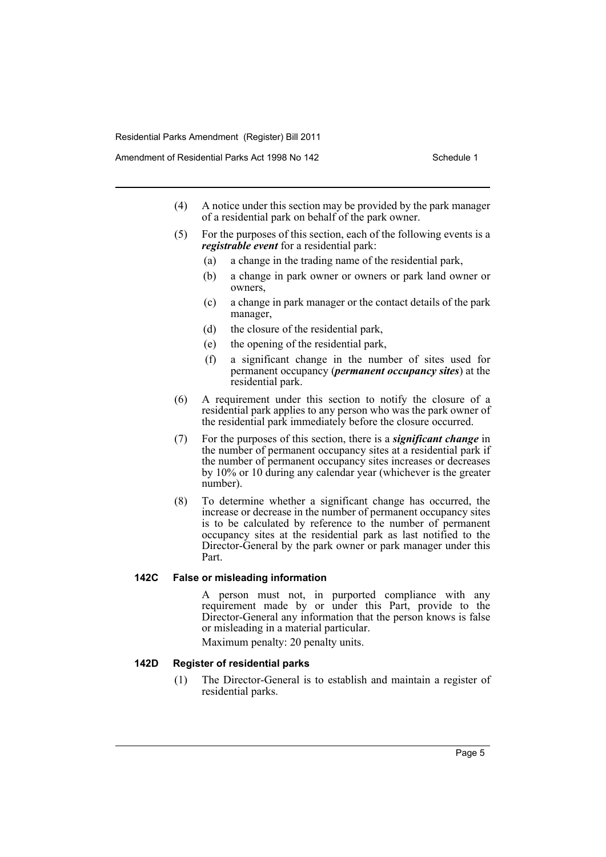- (4) A notice under this section may be provided by the park manager of a residential park on behalf of the park owner.
- (5) For the purposes of this section, each of the following events is a *registrable event* for a residential park:
	- (a) a change in the trading name of the residential park,
	- (b) a change in park owner or owners or park land owner or owners,
	- (c) a change in park manager or the contact details of the park manager,
	- (d) the closure of the residential park,
	- (e) the opening of the residential park,
	- (f) a significant change in the number of sites used for permanent occupancy (*permanent occupancy sites*) at the residential park.
- (6) A requirement under this section to notify the closure of a residential park applies to any person who was the park owner of the residential park immediately before the closure occurred.
- (7) For the purposes of this section, there is a *significant change* in the number of permanent occupancy sites at a residential park if the number of permanent occupancy sites increases or decreases by 10% or 10 during any calendar year (whichever is the greater number).
- (8) To determine whether a significant change has occurred, the increase or decrease in the number of permanent occupancy sites is to be calculated by reference to the number of permanent occupancy sites at the residential park as last notified to the Director-General by the park owner or park manager under this Part.

#### **142C False or misleading information**

A person must not, in purported compliance with any requirement made by or under this Part, provide to the Director-General any information that the person knows is false or misleading in a material particular.

Maximum penalty: 20 penalty units.

## **142D Register of residential parks**

(1) The Director-General is to establish and maintain a register of residential parks.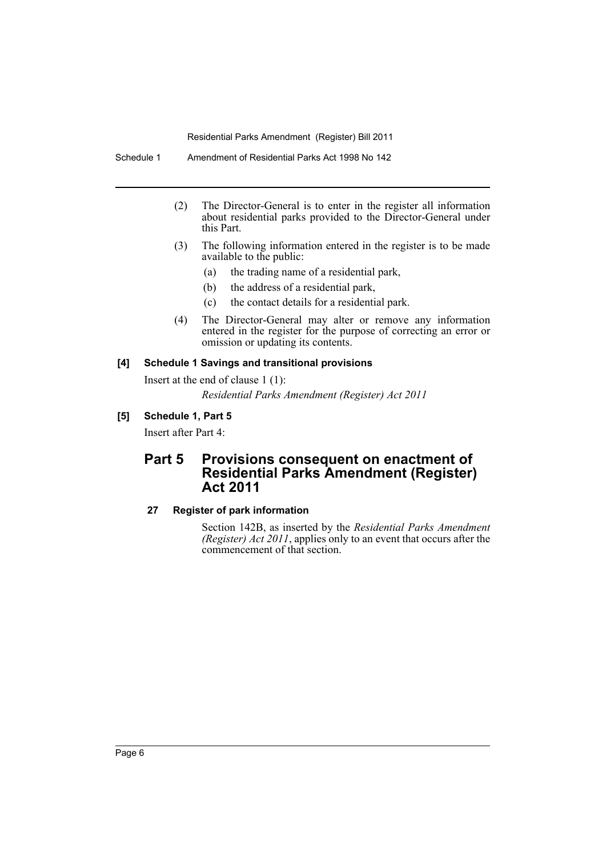- (2) The Director-General is to enter in the register all information about residential parks provided to the Director-General under this Part.
- (3) The following information entered in the register is to be made available to the public:
	- (a) the trading name of a residential park,
	- (b) the address of a residential park,
	- (c) the contact details for a residential park.
- (4) The Director-General may alter or remove any information entered in the register for the purpose of correcting an error or omission or updating its contents.

#### **[4] Schedule 1 Savings and transitional provisions**

Insert at the end of clause 1 (1):

*Residential Parks Amendment (Register) Act 2011*

### **[5] Schedule 1, Part 5**

Insert after Part 4:

# **Part 5 Provisions consequent on enactment of Residential Parks Amendment (Register) Act 2011**

## **27 Register of park information**

Section 142B, as inserted by the *Residential Parks Amendment (Register) Act 2011*, applies only to an event that occurs after the commencement of that section.